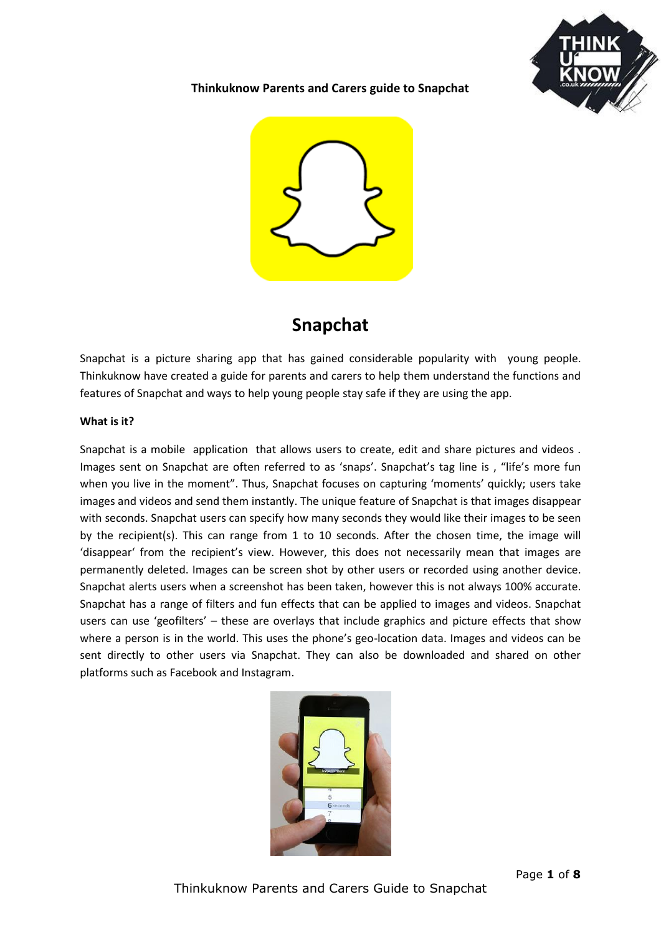

# **Thinkuknow Parents and Carers guide to Snapchat**



# **Snapchat**

Snapchat is a picture sharing app that has gained considerable popularity with young people. Thinkuknow have created a guide for parents and carers to help them understand the functions and features of Snapchat and ways to help young people stay safe if they are using the app.

## **What is it?**

Snapchat is a mobile application that allows users to create, edit and share pictures and videos . Images sent on Snapchat are often referred to as 'snaps'. Snapchat's tag line is , "life's more fun when you live in the moment". Thus, Snapchat focuses on capturing 'moments' quickly; users take images and videos and send them instantly. The unique feature of Snapchat is that images disappear with seconds. Snapchat users can specify how many seconds they would like their images to be seen by the recipient(s). This can range from 1 to 10 seconds. After the chosen time, the image will 'disappear' from the recipient's view. However, this does not necessarily mean that images are permanently deleted. Images can be screen shot by other users or recorded using another device. Snapchat alerts users when a screenshot has been taken, however this is not always 100% accurate. Snapchat has a range of filters and fun effects that can be applied to images and videos. Snapchat users can use 'geofilters' – these are overlays that include graphics and picture effects that show where a person is in the world. This uses the phone's geo-location data. Images and videos can be sent directly to other users via Snapchat. They can also be downloaded and shared on other platforms such as Facebook and Instagram.

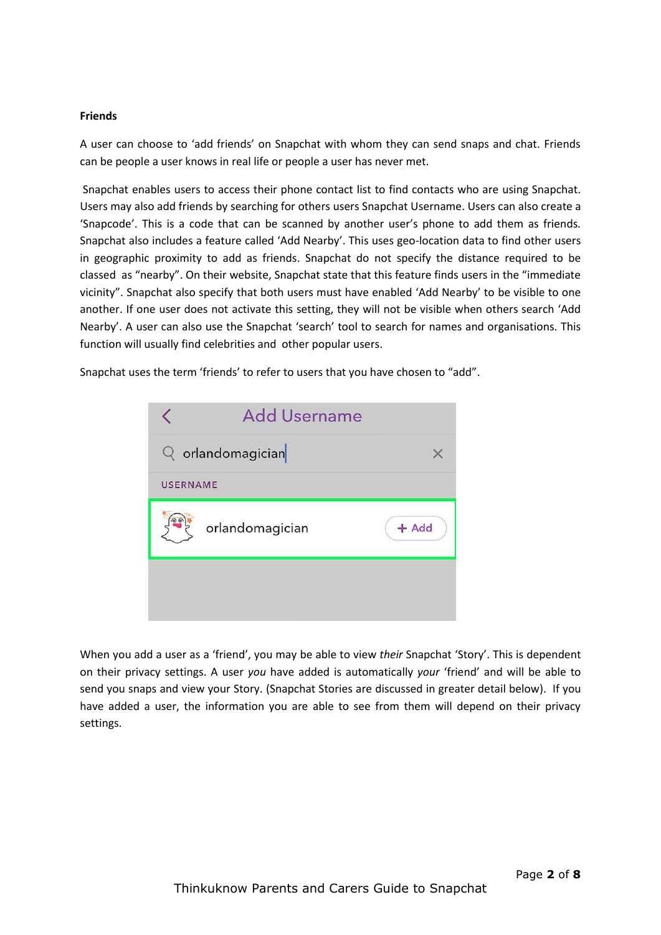## **Friends**

A user can choose to 'add friends' on Snapchat with whom they can send snaps and chat. Friends can be people a user knows in real life or people a user has never met.

Snapchat enables users to access their phone contact list to find contacts who are using Snapchat. Users may also add friends by searching for others users Snapchat Username. Users can also create a 'Snapcode'. This is a code that can be scanned by another user's phone to add them as friends. Snapchat also includes a feature called 'Add Nearby'. This uses geo-location data to find other users in geographic proximity to add as friends. Snapchat do not specify the distance required to be classed as "nearby". On their website, Snapchat state that this feature finds users in the "immediate vicinity". Snapchat also specify that both users must have enabled 'Add Nearby' to be visible to one another. If one user does not activate this setting, they will not be visible when others search 'Add Nearby'. A user can also use the Snapchat 'search' tool to search for names and organisations. This function will usually find celebrities and other popular users.

Snapchat uses the term 'friends' to refer to users that you have chosen to "add".

|                 | <b>Add Username</b> |         |
|-----------------|---------------------|---------|
|                 | $Q$ orlandomagician | X       |
| <b>USERNAME</b> |                     |         |
|                 | orlandomagician     | $+$ Add |
|                 |                     |         |
|                 |                     |         |

When you add a user as a 'friend', you may be able to view *their* Snapchat 'Story'. This is dependent on their privacy settings. A user *you* have added is automatically *your* 'friend' and will be able to send you snaps and view your Story. (Snapchat Stories are discussed in greater detail below). If you have added a user, the information you are able to see from them will depend on their privacy settings.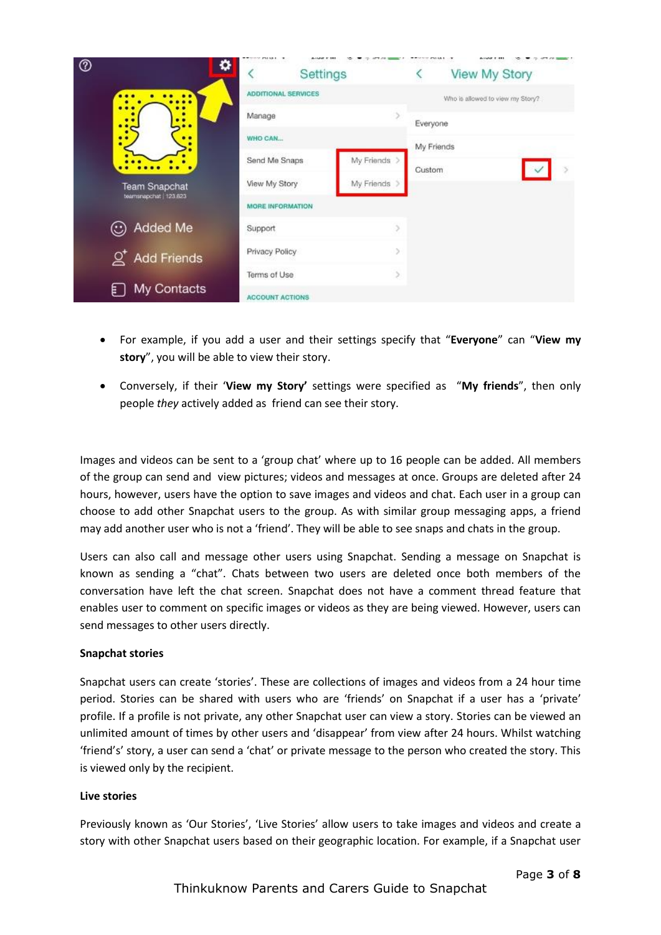| ℗<br>۰                                         | Settings                        |               |            | <b>View My Story</b>             |
|------------------------------------------------|---------------------------------|---------------|------------|----------------------------------|
|                                                | <b>ADDITIONAL SERVICES</b>      |               |            | Who is allowed to view my Story? |
| ٠<br>٠                                         | Manage                          |               | Everyone   |                                  |
| ٠<br>. .                                       | WHO CAN                         |               | My Friends |                                  |
|                                                | Send Me Snaps                   | My Friends >  | Custom     |                                  |
| <b>Team Snapchat</b><br>teamsnapchat   123,623 | View My Story                   | My Friends    |            |                                  |
|                                                | MORE INFORMATION                |               |            |                                  |
| ⊙ Added Me                                     | Support                         | 5             |            |                                  |
| $Q^{\dagger}$ Add Friends                      | Privacy Policy<br>$\mathcal{I}$ |               |            |                                  |
|                                                | Terms of Use                    | $\mathcal{P}$ |            |                                  |
| My Contacts<br>Ħ.                              | <b>ACCOUNT ACTIONS</b>          |               |            |                                  |

- For example, if you add a user and their settings specify that "**Everyone**" can "**View my story**", you will be able to view their story.
- Conversely, if their '**View my Story'** settings were specified as "**My friends**", then only people *they* actively added as friend can see their story.

Images and videos can be sent to a 'group chat' where up to 16 people can be added. All members of the group can send and view pictures; videos and messages at once. Groups are deleted after 24 hours, however, users have the option to save images and videos and chat. Each user in a group can choose to add other Snapchat users to the group. As with similar group messaging apps, a friend may add another user who is not a 'friend'. They will be able to see snaps and chats in the group.

Users can also call and message other users using Snapchat. Sending a message on Snapchat is known as sending a "chat". Chats between two users are deleted once both members of the conversation have left the chat screen. Snapchat does not have a comment thread feature that enables user to comment on specific images or videos as they are being viewed. However, users can send messages to other users directly.

## **Snapchat stories**

Snapchat users can create 'stories'. These are collections of images and videos from a 24 hour time period. Stories can be shared with users who are 'friends' on Snapchat if a user has a 'private' profile. If a profile is not private, any other Snapchat user can view a story. Stories can be viewed an unlimited amount of times by other users and 'disappear' from view after 24 hours. Whilst watching 'friend's' story, a user can send a 'chat' or private message to the person who created the story. This is viewed only by the recipient.

## **Live stories**

Previously known as 'Our Stories', 'Live Stories' allow users to take images and videos and create a story with other Snapchat users based on their geographic location. For example, if a Snapchat user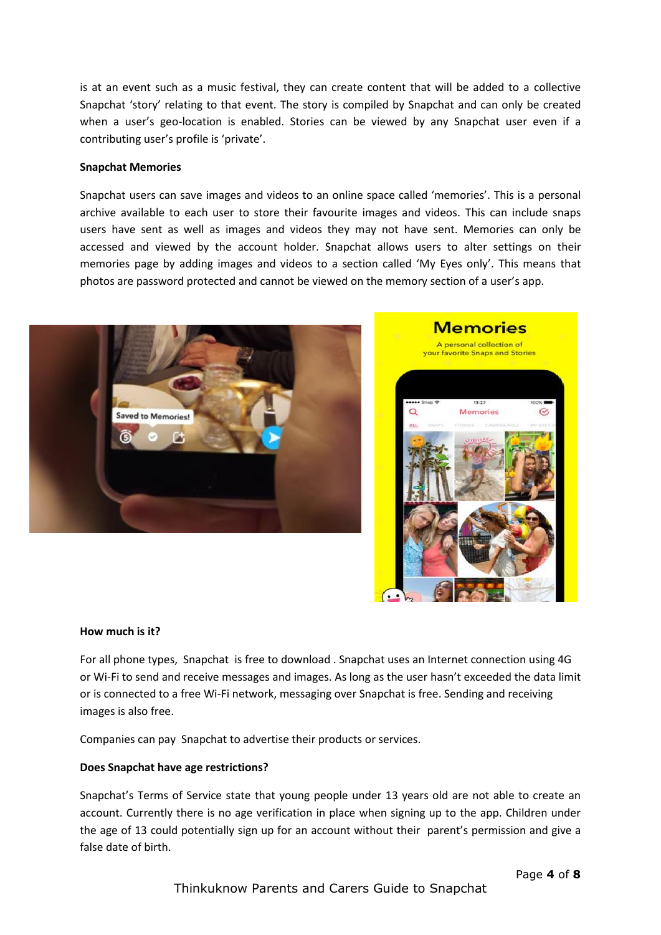is at an event such as a music festival, they can create content that will be added to a collective Snapchat 'story' relating to that event. The story is compiled by Snapchat and can only be created when a user's geo-location is enabled. Stories can be viewed by any Snapchat user even if a contributing user's profile is 'private'.

#### **Snapchat Memories**

Snapchat users can save images and videos to an online space called 'memories'. This is a personal archive available to each user to store their favourite images and videos. This can include snaps users have sent as well as images and videos they may not have sent. Memories can only be accessed and viewed by the account holder. Snapchat allows users to alter settings on their memories page by adding images and videos to a section called 'My Eyes only'. This means that photos are password protected and cannot be viewed on the memory section of a user's app.





#### **How much is it?**

For all phone types, Snapchat is free to download . Snapchat uses an Internet connection using 4G or Wi-Fi to send and receive messages and images. As long as the user hasn't exceeded the data limit or is connected to a free Wi-Fi network, messaging over Snapchat is free. Sending and receiving images is also free.

Companies can pay Snapchat to advertise their products or services.

#### **Does Snapchat have age restrictions?**

Snapchat's Terms of Service state that young people under 13 years old are not able to create an account. Currently there is no age verification in place when signing up to the app. Children under the age of 13 could potentially sign up for an account without their parent's permission and give a false date of birth.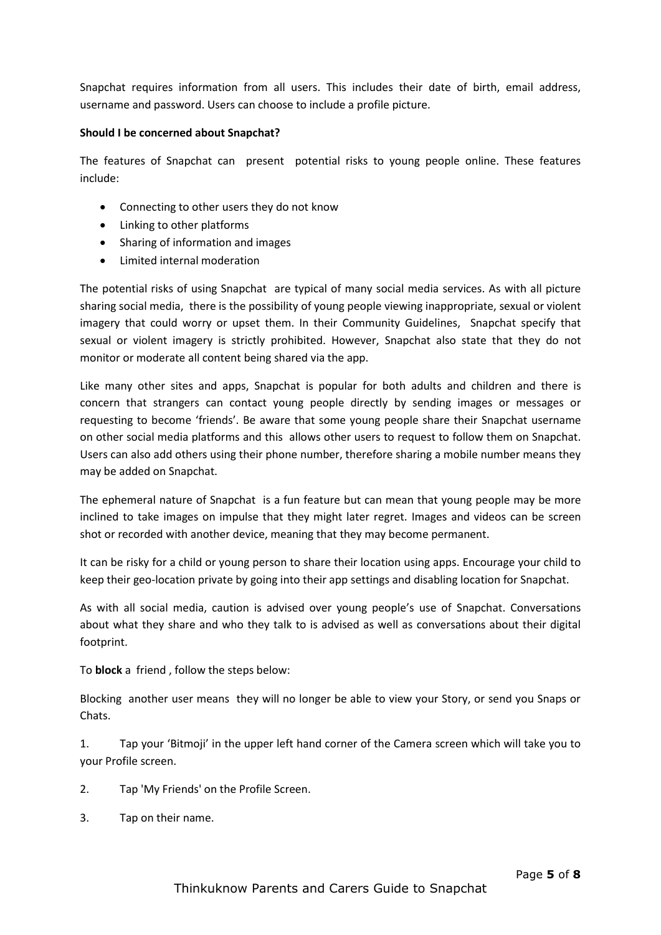Snapchat requires information from all users. This includes their date of birth, email address, username and password. Users can choose to include a profile picture.

## **Should I be concerned about Snapchat?**

The features of Snapchat can present potential risks to young people online. These features include:

- Connecting to other users they do not know
- Linking to other platforms
- Sharing of information and images
- Limited internal moderation

The potential risks of using Snapchat are typical of many social media services. As with all picture sharing social media, there is the possibility of young people viewing inappropriate, sexual or violent imagery that could worry or upset them. In their Community Guidelines, Snapchat specify that sexual or violent imagery is strictly prohibited. However, Snapchat also state that they do not monitor or moderate all content being shared via the app.

Like many other sites and apps, Snapchat is popular for both adults and children and there is concern that strangers can contact young people directly by sending images or messages or requesting to become 'friends'. Be aware that some young people share their Snapchat username on other social media platforms and this allows other users to request to follow them on Snapchat. Users can also add others using their phone number, therefore sharing a mobile number means they may be added on Snapchat.

The ephemeral nature of Snapchat is a fun feature but can mean that young people may be more inclined to take images on impulse that they might later regret. Images and videos can be screen shot or recorded with another device, meaning that they may become permanent.

It can be risky for a child or young person to share their location using apps. Encourage your child to keep their geo-location private by going into their app settings and disabling location for Snapchat.

As with all social media, caution is advised over young people's use of Snapchat. Conversations about what they share and who they talk to is advised as well as conversations about their digital footprint.

# To **block** a friend , follow the steps below:

Blocking another user means they will no longer be able to view your Story, or send you Snaps or Chats.

1. Tap your 'Bitmoji' in the upper left hand corner of the Camera screen which will take you to your Profile screen.

- 2. Tap 'My Friends' on the Profile Screen.
- 3. Tap on their name.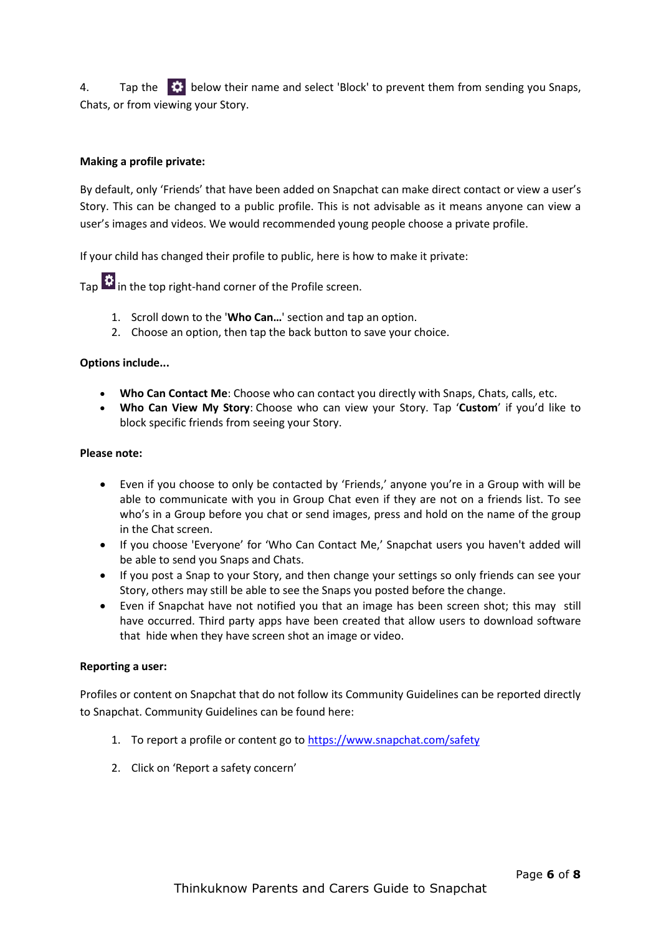4. Tap the  $\bullet\bullet\bullet$  below their name and select 'Block' to prevent them from sending you Snaps, Chats, or from viewing your Story.

## **Making a profile private:**

By default, only 'Friends' that have been added on Snapchat can make direct contact or view a user's Story. This can be changed to a public profile. This is not advisable as it means anyone can view a user's images and videos. We would recommended young people choose a private profile.

If your child has changed their profile to public, here is how to make it private:

Tap  $\ddot{\mathbf{w}}$  in the top right-hand corner of the Profile screen.

- 1. Scroll down to the '**Who Can…**' section and tap an option.
- 2. Choose an option, then tap the back button to save your choice.

## **Options include...**

- **Who Can Contact Me**: Choose who can contact you directly with Snaps, Chats, calls, etc.
- **Who Can View My Story**: Choose who can view your Story. Tap '**Custom**' if you'd like to block specific friends from seeing your Story.

## **Please note:**

- Even if you choose to only be contacted by 'Friends,' anyone you're in a Group with will be able to communicate with you in Group Chat even if they are not on a friends list. To see who's in a Group before you chat or send images, press and hold on the name of the group in the Chat screen.
- If you choose 'Everyone' for 'Who Can Contact Me,' Snapchat users you haven't added will be able to send you Snaps and Chats.
- If you post a Snap to your Story, and then change your settings so only friends can see your Story, others may still be able to see the Snaps you posted before the change.
- Even if Snapchat have not notified you that an image has been screen shot; this may still have occurred. Third party apps have been created that allow users to download software that hide when they have screen shot an image or video.

## **Reporting a user:**

Profiles or content on Snapchat that do not follow its Community Guidelines can be reported directly to Snapchat. Community Guidelines can be found here:

- 1. To report a profile or content go to<https://www.snapchat.com/safety>
- 2. Click on 'Report a safety concern'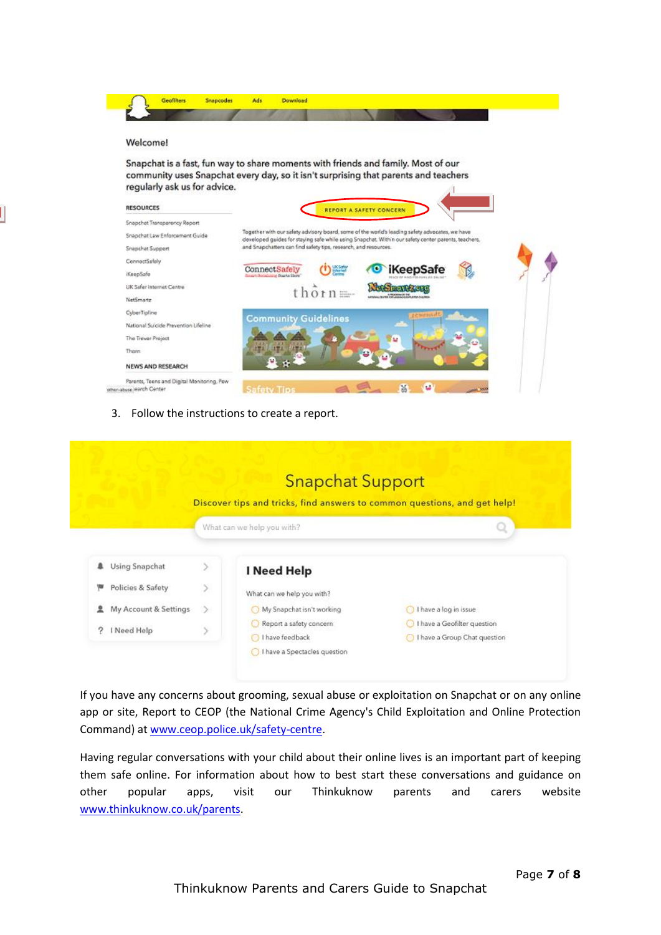| regularly ask us for advice.         | Snapchat is a fast, fun way to share moments with friends and family. Most of our<br>community uses Snapchat every day, so it isn't surprising that parents and teachers                              |
|--------------------------------------|-------------------------------------------------------------------------------------------------------------------------------------------------------------------------------------------------------|
| <b>RESOURCES</b>                     | <b>REPORT A SAFETY CONCERN</b>                                                                                                                                                                        |
| Snapchat Transparency Report         |                                                                                                                                                                                                       |
| Snapchat Law Enforcement Guide       | Together with our safety advisory board, some of the world's leading safety advocates, we have<br>developed guides for staying safe while using Snapchat. Within our safety center parents, teachers, |
| Snapchat Support                     | and Snapchatters can find safety tips, research, and resources.                                                                                                                                       |
| ConnoctSafely                        |                                                                                                                                                                                                       |
| KoopSafe                             | <b>iKeepSafe</b><br>ConnectSafely<br>finant florialisme fitants lilero"                                                                                                                               |
| UK Safer Internet Centre             |                                                                                                                                                                                                       |
| NetSmartz                            | <b>LIGHTER IN THE SHOPLIFTING</b>                                                                                                                                                                     |
| CyberTipline                         | <b>Community Guidelines</b>                                                                                                                                                                           |
|                                      |                                                                                                                                                                                                       |
| National Suicide Prevention Lifeline |                                                                                                                                                                                                       |
| The Trever Project                   |                                                                                                                                                                                                       |

3. Follow the instructions to create a report.

|                            |               | <b>Snapchat Support</b>                                                   |                                                             |
|----------------------------|---------------|---------------------------------------------------------------------------|-------------------------------------------------------------|
|                            |               | Discover tips and tricks, find answers to common questions, and get help! |                                                             |
|                            |               | What can we help you with?                                                | Q                                                           |
| Using Snapchat             | $\mathcal{P}$ | I Need Help                                                               |                                                             |
| Policies & Safety          | У             | What can we help you with?                                                |                                                             |
| My Account & Settings<br>昱 | ≫             | My Snapchat isn't working                                                 | I have a log in issue                                       |
| I Need Help                | v             | Report a safety concern<br>I have feedback                                | I have a Geofilter question<br>I have a Group Chat question |

If you have any concerns about grooming, sexual abuse or exploitation on Snapchat or on any online app or site, Report to CEOP (the National Crime Agency's Child Exploitation and Online Protection Command) at [www.ceop.police.uk/safety-centre.](http://www.ceop.police.uk/safety-centre)

Having regular conversations with your child about their online lives is an important part of keeping them safe online. For information about how to best start these conversations and guidance on other popular apps, visit our Thinkuknow parents and carers website [www.thinkuknow.co.uk/parents.](http://www.thinkuknow.co.uk/parents)